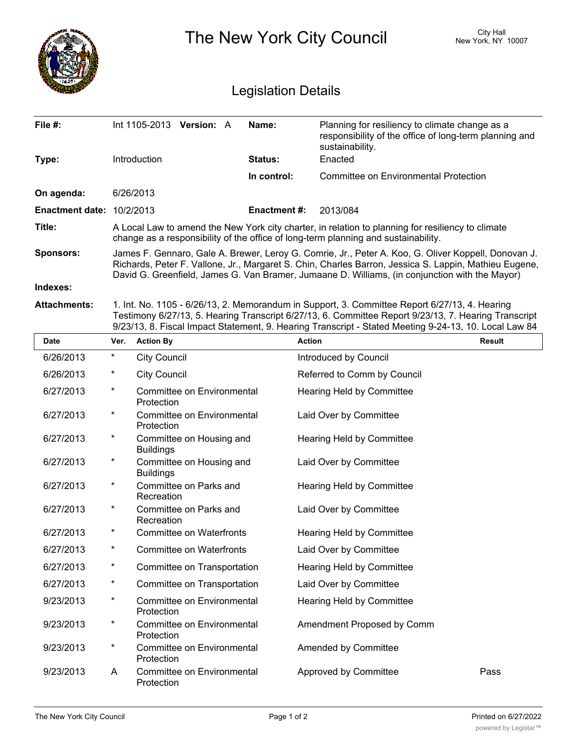|                                  | The New York City Council                                                                                                                                                                                                                                                                                      |                                                 |                    |               |                                                                                                                             | City Hall<br>New York, NY 10007 |  |  |  |
|----------------------------------|----------------------------------------------------------------------------------------------------------------------------------------------------------------------------------------------------------------------------------------------------------------------------------------------------------------|-------------------------------------------------|--------------------|---------------|-----------------------------------------------------------------------------------------------------------------------------|---------------------------------|--|--|--|
| <b>Legislation Details</b>       |                                                                                                                                                                                                                                                                                                                |                                                 |                    |               |                                                                                                                             |                                 |  |  |  |
| File #:                          |                                                                                                                                                                                                                                                                                                                | Int 1105-2013 Version: A                        | Name:              |               | Planning for resiliency to climate change as a<br>responsibility of the office of long-term planning and<br>sustainability. |                                 |  |  |  |
| Type:                            |                                                                                                                                                                                                                                                                                                                | Introduction                                    | <b>Status:</b>     |               | Enacted                                                                                                                     |                                 |  |  |  |
|                                  |                                                                                                                                                                                                                                                                                                                |                                                 | In control:        |               | <b>Committee on Environmental Protection</b>                                                                                |                                 |  |  |  |
| On agenda:                       |                                                                                                                                                                                                                                                                                                                | 6/26/2013                                       |                    |               |                                                                                                                             |                                 |  |  |  |
| <b>Enactment date: 10/2/2013</b> |                                                                                                                                                                                                                                                                                                                |                                                 | <b>Enactment#:</b> |               | 2013/084                                                                                                                    |                                 |  |  |  |
| Title:                           | A Local Law to amend the New York city charter, in relation to planning for resiliency to climate<br>change as a responsibility of the office of long-term planning and sustainability.                                                                                                                        |                                                 |                    |               |                                                                                                                             |                                 |  |  |  |
| <b>Sponsors:</b>                 | James F. Gennaro, Gale A. Brewer, Leroy G. Comrie, Jr., Peter A. Koo, G. Oliver Koppell, Donovan J.<br>Richards, Peter F. Vallone, Jr., Margaret S. Chin, Charles Barron, Jessica S. Lappin, Mathieu Eugene,<br>David G. Greenfield, James G. Van Bramer, Jumaane D. Williams, (in conjunction with the Mayor) |                                                 |                    |               |                                                                                                                             |                                 |  |  |  |
| Indexes:                         |                                                                                                                                                                                                                                                                                                                |                                                 |                    |               |                                                                                                                             |                                 |  |  |  |
| <b>Attachments:</b>              | 1. Int. No. 1105 - 6/26/13, 2. Memorandum in Support, 3. Committee Report 6/27/13, 4. Hearing<br>Testimony 6/27/13, 5. Hearing Transcript 6/27/13, 6. Committee Report 9/23/13, 7. Hearing Transcript<br>9/23/13, 8. Fiscal Impact Statement, 9. Hearing Transcript - Stated Meeting 9-24-13, 10. Local Law 84 |                                                 |                    |               |                                                                                                                             |                                 |  |  |  |
| <b>Date</b>                      | Ver.                                                                                                                                                                                                                                                                                                           | <b>Action By</b>                                |                    | <b>Action</b> |                                                                                                                             | <b>Result</b>                   |  |  |  |
| 6/26/2013                        | $^\star$                                                                                                                                                                                                                                                                                                       | <b>City Council</b>                             |                    |               | Introduced by Council                                                                                                       |                                 |  |  |  |
| 6/26/2013                        | *                                                                                                                                                                                                                                                                                                              | <b>City Council</b>                             |                    |               | Referred to Comm by Council                                                                                                 |                                 |  |  |  |
| 6/27/2013                        | $^\star$                                                                                                                                                                                                                                                                                                       | Committee on Environmental<br>Protection        |                    |               | Hearing Held by Committee                                                                                                   |                                 |  |  |  |
| 6/27/2013                        | $^\star$                                                                                                                                                                                                                                                                                                       | <b>Committee on Environmental</b><br>Protection |                    |               | Laid Over by Committee                                                                                                      |                                 |  |  |  |
| 6/27/2013                        | $^\star$                                                                                                                                                                                                                                                                                                       | Committee on Housing and<br><b>Buildings</b>    |                    |               | Hearing Held by Committee                                                                                                   |                                 |  |  |  |
| 6/27/2013                        | $^\star$                                                                                                                                                                                                                                                                                                       | Committee on Housing and<br><b>Buildings</b>    |                    |               | Laid Over by Committee                                                                                                      |                                 |  |  |  |
| 6/27/2013                        | $\star$                                                                                                                                                                                                                                                                                                        | Committee on Parks and<br>Recreation            |                    |               | Hearing Held by Committee                                                                                                   |                                 |  |  |  |
| 6/27/2013                        | $\ast$                                                                                                                                                                                                                                                                                                         | Committee on Parks and<br>Recreation            |                    |               | Laid Over by Committee                                                                                                      |                                 |  |  |  |
| 6/27/2013                        | $\ast$                                                                                                                                                                                                                                                                                                         | <b>Committee on Waterfronts</b>                 |                    |               | Hearing Held by Committee                                                                                                   |                                 |  |  |  |
| 6/27/2013                        | $\ast$                                                                                                                                                                                                                                                                                                         | <b>Committee on Waterfronts</b>                 |                    |               | Laid Over by Committee                                                                                                      |                                 |  |  |  |
| 6/27/2013                        | $\star$                                                                                                                                                                                                                                                                                                        | Committee on Transportation                     |                    |               | Hearing Held by Committee                                                                                                   |                                 |  |  |  |
| 6/27/2013                        | $\ast$                                                                                                                                                                                                                                                                                                         | Committee on Transportation                     |                    |               | Laid Over by Committee                                                                                                      |                                 |  |  |  |
| 9/23/2013                        | $\star$                                                                                                                                                                                                                                                                                                        | Committee on Environmental<br>Protection        |                    |               | Hearing Held by Committee                                                                                                   |                                 |  |  |  |
| 9/23/2013                        | $\star$                                                                                                                                                                                                                                                                                                        | Committee on Environmental<br>Protection        |                    |               | Amendment Proposed by Comm                                                                                                  |                                 |  |  |  |
| 9/23/2013                        | $^\ast$                                                                                                                                                                                                                                                                                                        | Committee on Environmental<br>Protection        |                    |               | Amended by Committee                                                                                                        |                                 |  |  |  |
| 9/23/2013                        | A                                                                                                                                                                                                                                                                                                              | Committee on Environmental<br>Protection        |                    |               | Approved by Committee                                                                                                       | Pass                            |  |  |  |